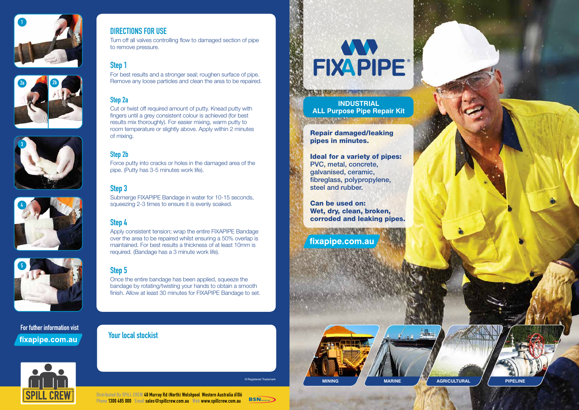









## DIRECTIONS FOR USE

Turn off all valves controlling flow to damaged section of pipe to remove pressure.

# Step 1

For best results and a stronger seal; roughen surface of pipe. Remove any loose particles and clean the area to be repaired.

## Step 2a

Cut or twist off required amount of putty. Knead putty with fingers until a grey consistent colour is achieved (for best results mix thoroughly). For easier mixing, warm putty to room temperature or slightly above. Apply within 2 minutes of mixing.

## Step 2b

Force putty into cracks or holes in the damaged area of the pipe. (Putty has 3-5 minutes work life).

For futher information vist fixapipe.com.au



# Step 3





Submerge FIXAPIPE Bandage in water for 10-15 seconds, squeezing 2-3 times to ensure it is evenly soaked.

# Step 4

Apply consistent tension; wrap the entire FIXAPIPE Bandage over the area to be repaired whilst ensuring a 50% overlap is maintained. For best results a thickness of at least 10mm is required. (Bandage has a 3 minute work life).

# Step 5

Once the entire bandage has been applied, squeeze the bandage by rotating/twisting your hands to obtain a smooth finish. Allow at least 30 minutes for FIXAPIPE Bandage to set.

Your local stockist



Repair damaged/leaking pipes in minutes.

TAX TO CONTRACT THE TAX TO

## Ideal for a variety of pipes: PVC, metal, concrete, galvanised, ceramic, fibreglass, polypropylene, steel and rubber.

Can be used on: Wet, dry, clean, broken, corroded and leaking pipes.

fixapipe.com.au

**CONTROLLER INTERNATIONAL** 

**INDUSTRIAL ALL Purpose Pipe Repair Kit**